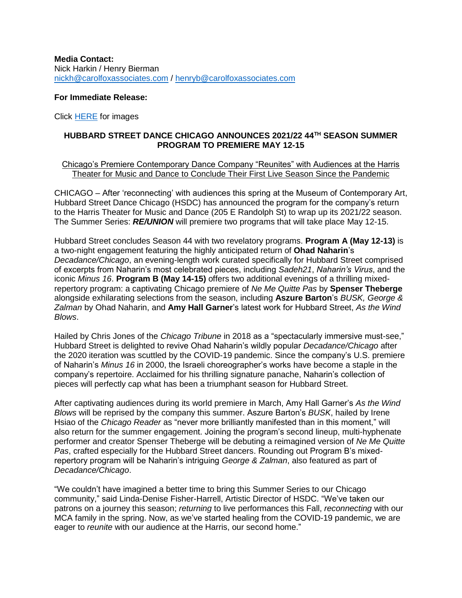**Media Contact:** Nick Harkin / Henry Bierman [nickh@carolfoxassociates.com](mailto:nickh@carolfoxassociates.com%20/) / [henryb@carolfoxassociates.com](mailto:henryb@carolfoxassociates.com)

### **For Immediate Release:**

Click [HERE](https://www.dropbox.com/sh/n8sviicp1ts3967/AAAIowWsFf9tSHI5m_j4wpYTa?dl=0) for images

# **HUBBARD STREET DANCE CHICAGO ANNOUNCES 2021/22 44TH SEASON SUMMER PROGRAM TO PREMIERE MAY 12-15**

### Chicago's Premiere Contemporary Dance Company "Reunites" with Audiences at the Harris Theater for Music and Dance to Conclude Their First Live Season Since the Pandemic

CHICAGO – After 'reconnecting' with audiences this spring at the Museum of Contemporary Art, Hubbard Street Dance Chicago (HSDC) has announced the program for the company's return to the Harris Theater for Music and Dance (205 E Randolph St) to wrap up its 2021/22 season. The Summer Series: *RE/UNION* will premiere two programs that will take place May 12-15.

Hubbard Street concludes Season 44 with two revelatory programs. **Program A (May 12-13)** is a two-night engagement featuring the highly anticipated return of **Ohad Naharin**'s *Decadance/Chicago*, an evening-length work curated specifically for Hubbard Street comprised of excerpts from Naharin's most celebrated pieces, including *Sadeh21*, *Naharin's Virus*, and the iconic *Minus 16*. **Program B (May 14-15)** offers two additional evenings of a thrilling mixedrepertory program: a captivating Chicago premiere of *Ne Me Quitte Pas* by **Spenser Theberge** alongside exhilarating selections from the season, including **Aszure Barton**'s *BUSK, George & Zalman* by Ohad Naharin, and **Amy Hall Garner**'s latest work for Hubbard Street, *As the Wind Blows*.

Hailed by Chris Jones of the *Chicago Tribune* in 2018 as a "spectacularly immersive must-see," Hubbard Street is delighted to revive Ohad Naharin's wildly popular *Decadance/Chicago* after the 2020 iteration was scuttled by the COVID-19 pandemic. Since the company's U.S. premiere of Naharin's *Minus 16* in 2000, the Israeli choreographer's works have become a staple in the company's repertoire. Acclaimed for his thrilling signature panache, Naharin's collection of pieces will perfectly cap what has been a triumphant season for Hubbard Street.

After captivating audiences during its world premiere in March, Amy Hall Garner's *As the Wind Blows* will be reprised by the company this summer. Aszure Barton's *BUSK*, hailed by Irene Hsiao of the *Chicago Reader* as "never more brilliantly manifested than in this moment," will also return for the summer engagement. Joining the program's second lineup, multi-hyphenate performer and creator Spenser Theberge will be debuting a reimagined version of *Ne Me Quitte Pas*, crafted especially for the Hubbard Street dancers. Rounding out Program B's mixedrepertory program will be Naharin's intriguing *George & Zalman*, also featured as part of *Decadance/Chicago*.

"We couldn't have imagined a better time to bring this Summer Series to our Chicago community," said Linda-Denise Fisher-Harrell, Artistic Director of HSDC. "We've taken our patrons on a journey this season; *returning* to live performances this Fall, *reconnecting* with our MCA family in the spring. Now, as we've started healing from the COVID-19 pandemic, we are eager to *reunite* with our audience at the Harris, our second home."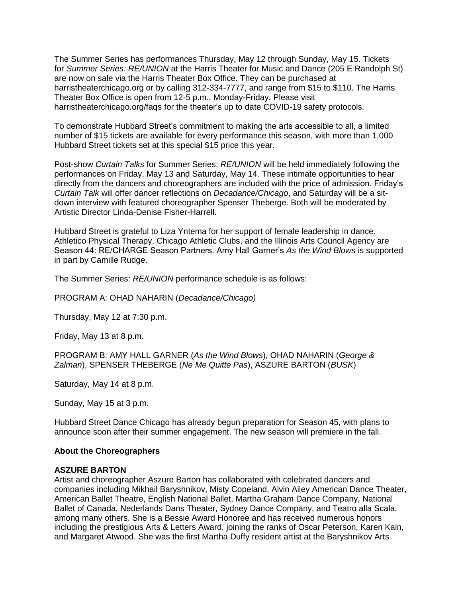The Summer Series has performances Thursday, May 12 through Sunday, May 15. Tickets for *Summer Series: RE/UNION* at the Harris Theater for Music and Dance (205 E Randolph St) are now on sale via the Harris Theater Box Office. They can be purchased at harristheaterchicago.org or by calling 312-334-7777, and range from \$15 to \$110. The Harris Theater Box Office is open from 12-5 p.m., Monday-Friday. Please visit harristheaterchicago.org/faqs for the theater's up to date COVID-19 safety protocols.

To demonstrate Hubbard Street's commitment to making the arts accessible to all, a limited number of \$15 tickets are available for every performance this season, with more than 1,000 Hubbard Street tickets set at this special \$15 price this year.

Post-show *Curtain Talks* for Summer Series: *RE/UNION* will be held immediately following the performances on Friday, May 13 and Saturday, May 14. These intimate opportunities to hear directly from the dancers and choreographers are included with the price of admission. Friday's *Curtain Talk* will offer dancer reflections on *Decadance/Chicago*, and Saturday will be a sitdown interview with featured choreographer Spenser Theberge. Both will be moderated by Artistic Director Linda-Denise Fisher-Harrell.

Hubbard Street is grateful to Liza Yntema for her support of female leadership in dance. Athletico Physical Therapy, Chicago Athletic Clubs, and the Illinois Arts Council Agency are Season 44: RE/CHARGE Season Partners. Amy Hall Garner's *As the Wind Blows* is supported in part by Camille Rudge.

The Summer Series: *RE/UNION* performance schedule is as follows:

PROGRAM A: OHAD NAHARIN (*Decadance/Chicago)*

Thursday, May 12 at 7:30 p.m.

Friday, May 13 at 8 p.m.

PROGRAM B: AMY HALL GARNER (*As the Wind Blows*), OHAD NAHARIN (*George & Zalman*), SPENSER THEBERGE (*Ne Me Quitte Pas*), ASZURE BARTON (*BUSK*)

Saturday, May 14 at 8 p.m.

Sunday, May 15 at 3 p.m.

Hubbard Street Dance Chicago has already begun preparation for Season 45, with plans to announce soon after their summer engagement. The new season will premiere in the fall.

#### **About the Choreographers**

#### **ASZURE BARTON**

Artist and choreographer Aszure Barton has collaborated with celebrated dancers and companies including Mikhail Baryshnikov, Misty Copeland, Alvin Ailey American Dance Theater, American Ballet Theatre, English National Ballet, Martha Graham Dance Company, National Ballet of Canada, Nederlands Dans Theater, Sydney Dance Company, and Teatro alla Scala, among many others. She is a Bessie Award Honoree and has received numerous honors including the prestigious Arts & Letters Award, joining the ranks of Oscar Peterson, Karen Kain, and Margaret Atwood. She was the first Martha Duffy resident artist at the Baryshnikov Arts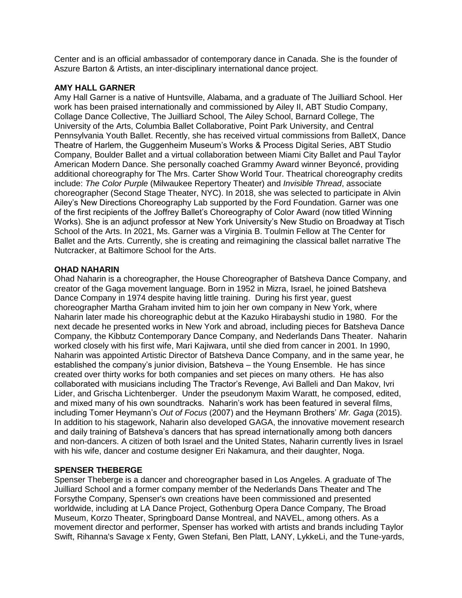Center and is an official ambassador of contemporary dance in Canada. She is the founder of Aszure Barton & Artists, an inter-disciplinary international dance project.

### **AMY HALL GARNER**

Amy Hall Garner is a native of Huntsville, Alabama, and a graduate of The Juilliard School. Her work has been praised internationally and commissioned by Ailey II, ABT Studio Company, Collage Dance Collective, The Juilliard School, The Ailey School, Barnard College, The University of the Arts, Columbia Ballet Collaborative, Point Park University, and Central Pennsylvania Youth Ballet. Recently, she has received virtual commissions from BalletX, Dance Theatre of Harlem, the Guggenheim Museum's Works & Process Digital Series, ABT Studio Company, Boulder Ballet and a virtual collaboration between Miami City Ballet and Paul Taylor American Modern Dance. She personally coached Grammy Award winner Beyoncé, providing additional choreography for The Mrs. Carter Show World Tour. Theatrical choreography credits include: *The Color Purple* (Milwaukee Repertory Theater) and *Invisible Thread*, associate choreographer (Second Stage Theater, NYC). In 2018, she was selected to participate in Alvin Ailey's New Directions Choreography Lab supported by the Ford Foundation. Garner was one of the first recipients of the Joffrey Ballet's Choreography of Color Award (now titled Winning Works). She is an adjunct professor at New York University's New Studio on Broadway at Tisch School of the Arts. In 2021, Ms. Garner was a Virginia B. Toulmin Fellow at The Center for Ballet and the Arts. Currently, she is creating and reimagining the classical ballet narrative The Nutcracker, at Baltimore School for the Arts.

## **OHAD NAHARIN**

Ohad Naharin is a choreographer, the House Choreographer of Batsheva Dance Company, and creator of the Gaga movement language. Born in 1952 in Mizra, Israel, he joined Batsheva Dance Company in 1974 despite having little training. During his first year, guest choreographer Martha Graham invited him to join her own company in New York, where Naharin later made his choreographic debut at the Kazuko Hirabayshi studio in 1980. For the next decade he presented works in New York and abroad, including pieces for Batsheva Dance Company, the Kibbutz Contemporary Dance Company, and Nederlands Dans Theater. Naharin worked closely with his first wife, Mari Kajiwara, until she died from cancer in 2001. In 1990, Naharin was appointed Artistic Director of Batsheva Dance Company, and in the same year, he established the company's junior division, Batsheva – the Young Ensemble. He has since created over thirty works for both companies and set pieces on many others. He has also collaborated with musicians including The Tractor's Revenge, Avi Balleli and Dan Makov, Ivri Lider, and Grischa Lichtenberger. Under the pseudonym Maxim Waratt, he composed, edited, and mixed many of his own soundtracks. Naharin's work has been featured in several films, including Tomer Heymann's *Out of Focus* (2007) and the Heymann Brothers' *Mr. Gaga* (2015). In addition to his stagework, Naharin also developed GAGA, the innovative movement research and daily training of Batsheva's dancers that has spread internationally among both dancers and non-dancers. A citizen of both Israel and the United States, Naharin currently lives in Israel with his wife, dancer and costume designer Eri Nakamura, and their daughter, Noga.

# **SPENSER THEBERGE**

Spenser Theberge is a dancer and choreographer based in Los Angeles. A graduate of The Juilliard School and a former company member of the Nederlands Dans Theater and The Forsythe Company, Spenser's own creations have been commissioned and presented worldwide, including at LA Dance Project, Gothenburg Opera Dance Company, The Broad Museum, Korzo Theater, Springboard Danse Montreal, and NAVEL, among others. As a movement director and performer, Spenser has worked with artists and brands including Taylor Swift, Rihanna's Savage x Fenty, Gwen Stefani, Ben Platt, LANY, LykkeLi, and the Tune-yards,